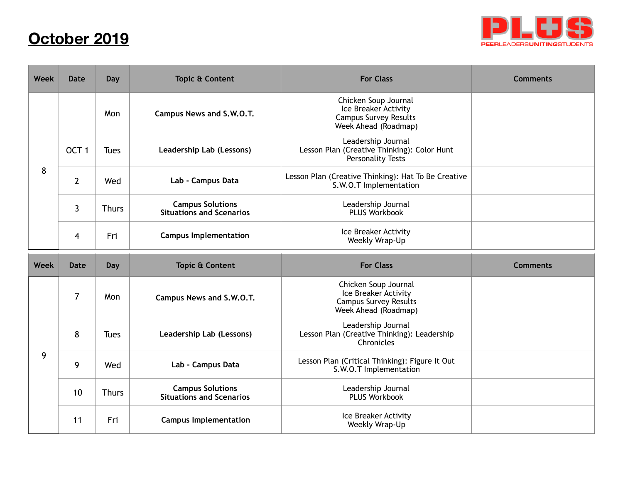## **October 2019**



| <b>Week</b> | <b>Date</b>      | <b>Day</b>   | <b>Topic &amp; Content</b>                                 | <b>For Class</b>                                                                                     | <b>Comments</b> |
|-------------|------------------|--------------|------------------------------------------------------------|------------------------------------------------------------------------------------------------------|-----------------|
|             |                  | Mon          | Campus News and S.W.O.T.                                   | Chicken Soup Journal<br>Ice Breaker Activity<br><b>Campus Survey Results</b><br>Week Ahead (Roadmap) |                 |
| 8           | OCT <sub>1</sub> | <b>Tues</b>  | Leadership Lab (Lessons)                                   | Leadership Journal<br>Lesson Plan (Creative Thinking): Color Hunt<br>Personality Tests               |                 |
|             | $\overline{2}$   | Wed          | Lab - Campus Data                                          | Lesson Plan (Creative Thinking): Hat To Be Creative<br>S.W.O.T Implementation                        |                 |
|             | 3                | <b>Thurs</b> | <b>Campus Solutions</b><br><b>Situations and Scenarios</b> | Leadership Journal<br>PLUS Workbook                                                                  |                 |
|             | 4                | Fri          | <b>Campus Implementation</b>                               | Ice Breaker Activity<br>Weekly Wrap-Up                                                               |                 |
| <b>Week</b> | <b>Date</b>      | Day          | <b>Topic &amp; Content</b>                                 | <b>For Class</b>                                                                                     | <b>Comments</b> |
| 9           | 7                | Mon          | Campus News and S.W.O.T.                                   | Chicken Soup Journal<br>Ice Breaker Activity<br><b>Campus Survey Results</b><br>Week Ahead (Roadmap) |                 |
|             | 8                | <b>Tues</b>  | Leadership Lab (Lessons)                                   | Leadership Journal<br>Lesson Plan (Creative Thinking): Leadership<br>Chronicles                      |                 |
|             | 9                | Wed          | Lab - Campus Data                                          | Lesson Plan (Critical Thinking): Figure It Out<br>S.W.O.T Implementation                             |                 |
|             | 10               | <b>Thurs</b> | <b>Campus Solutions</b><br><b>Situations and Scenarios</b> | Leadership Journal<br><b>PLUS Workbook</b>                                                           |                 |
|             | 11               | Fri          | <b>Campus Implementation</b>                               | Ice Breaker Activity<br>Weekly Wrap-Up                                                               |                 |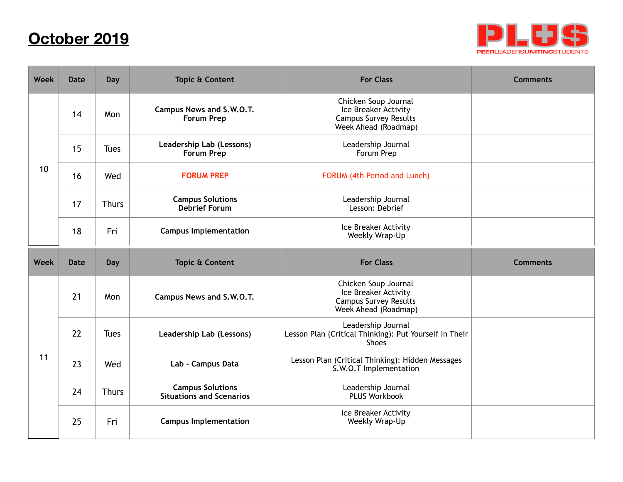## **October 2019**



| <b>Week</b> | <b>Date</b> | Day          | <b>Topic &amp; Content</b>                                 | <b>For Class</b>                                                                                     | <b>Comments</b> |
|-------------|-------------|--------------|------------------------------------------------------------|------------------------------------------------------------------------------------------------------|-----------------|
|             | 14          | Mon          | Campus News and S.W.O.T.<br><b>Forum Prep</b>              | Chicken Soup Journal<br>Ice Breaker Activity<br><b>Campus Survey Results</b><br>Week Ahead (Roadmap) |                 |
| 10          | 15          | <b>Tues</b>  | Leadership Lab (Lessons)<br>Forum Prep                     | Leadership Journal<br>Forum Prep                                                                     |                 |
|             | 16          | Wed          | <b>FORUM PREP</b>                                          | FORUM (4th Period and Lunch)                                                                         |                 |
|             | 17          | <b>Thurs</b> | <b>Campus Solutions</b><br><b>Debrief Forum</b>            | Leadership Journal<br>Lesson: Debrief                                                                |                 |
|             | 18          | Fri          | <b>Campus Implementation</b>                               | Ice Breaker Activity<br>Weekly Wrap-Up                                                               |                 |
|             |             |              |                                                            |                                                                                                      |                 |
| <b>Week</b> | <b>Date</b> | Day          | <b>Topic &amp; Content</b>                                 | <b>For Class</b>                                                                                     | <b>Comments</b> |
|             | 21          | Mon          | Campus News and S.W.O.T.                                   | Chicken Soup Journal<br>Ice Breaker Activity<br><b>Campus Survey Results</b><br>Week Ahead (Roadmap) |                 |
|             | 22          | <b>Tues</b>  | Leadership Lab (Lessons)                                   | Leadership Journal<br>Lesson Plan (Critical Thinking): Put Yourself In Their<br><b>Shoes</b>         |                 |
| 11          | 23          | Wed          | Lab - Campus Data                                          | Lesson Plan (Critical Thinking): Hidden Messages<br>S.W.O.T Implementation                           |                 |
|             | 24          | <b>Thurs</b> | <b>Campus Solutions</b><br><b>Situations and Scenarios</b> | Leadership Journal<br><b>PLUS Workbook</b>                                                           |                 |